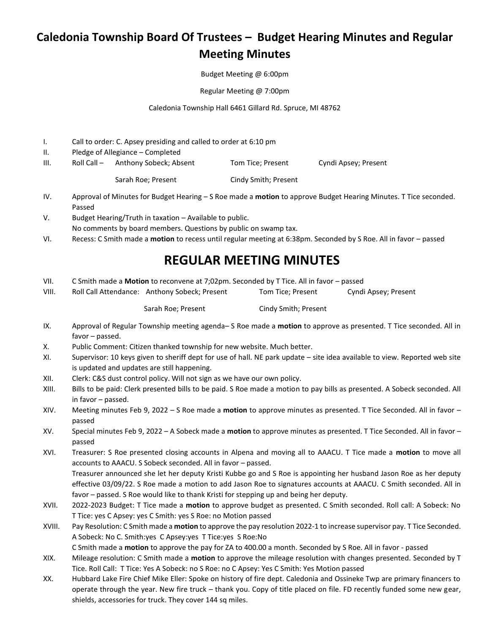## **Caledonia Township Board Of Trustees – Budget Hearing Minutes and Regular Meeting Minutes**

Budget Meeting @ 6:00pm

Regular Meeting @ 7:00pm

Caledonia Township Hall 6461 Gillard Rd. Spruce, MI 48762

- I. Call to order: C. Apsey presiding and called to order at 6:10 pm
- II. Pledge of Allegiance Completed
- III. Roll Call Anthony Sobeck; Absent Tom Tice; Present Cyndi Apsey; Present

Sarah Roe; Present Cindy Smith; Present

- IV. Approval of Minutes for Budget Hearing S Roe made a **motion** to approve Budget Hearing Minutes. T Tice seconded. Passed
- V. Budget Hearing/Truth in taxation Available to public. No comments by board members. Questions by public on swamp tax.
- VI. Recess: C Smith made a **motion** to recess until regular meeting at 6:38pm. Seconded by S Roe. All in favor passed

## **REGULAR MEETING MINUTES**

- VII. C Smith made a **Motion** to reconvene at 7;02pm. Seconded by T Tice. All in favor passed
- VIII. Roll Call Attendance: Anthony Sobeck; Present Tom Tice; Present Cyndi Apsey; Present

Sarah Roe; Present Cindy Smith; Present

- IX. Approval of Regular Township meeting agenda– S Roe made a **motion** to approve as presented. T Tice seconded. All in favor – passed.
- X. Public Comment: Citizen thanked township for new website. Much better.
- XI. Supervisor: 10 keys given to sheriff dept for use of hall. NE park update site idea available to view. Reported web site is updated and updates are still happening.
- XII. Clerk: C&S dust control policy. Will not sign as we have our own policy.
- XIII. Bills to be paid: Clerk presented bills to be paid. S Roe made a motion to pay bills as presented. A Sobeck seconded. All in favor – passed.
- XIV. Meeting minutes Feb 9, 2022 S Roe made a **motion** to approve minutes as presented. T Tice Seconded. All in favor passed
- XV. Special minutes Feb 9, 2022 A Sobeck made a **motion** to approve minutes as presented. T Tice Seconded. All in favor passed
- XVI. Treasurer: S Roe presented closing accounts in Alpena and moving all to AAACU. T Tice made a **motion** to move all accounts to AAACU. S Sobeck seconded. All in favor – passed. Treasurer announced she let her deputy Kristi Kubbe go and S Roe is appointing her husband Jason Roe as her deputy effective 03/09/22. S Roe made a motion to add Jason Roe to signatures accounts at AAACU. C Smith seconded. All in favor – passed. S Roe would like to thank Kristi for stepping up and being her deputy.
- XVII. 2022-2023 Budget: T Tice made a **motion** to approve budget as presented. C Smith seconded. Roll call: A Sobeck: No T Tice: yes C Apsey: yes C Smith: yes S Roe: no Motion passed
- XVIII. Pay Resolution: C Smith made a **motion** to approve the pay resolution 2022-1 to increase supervisor pay. T Tice Seconded. A Sobeck: No C. Smith:yes C Apsey:yes T Tice:yes S Roe:No C Smith made a **motion** to approve the pay for ZA to 400.00 a month. Seconded by S Roe. All in favor - passed
- XIX. Mileage resolution: C Smith made a **motion** to approve the mileage resolution with changes presented. Seconded by T Tice. Roll Call: T Tice: Yes A Sobeck: no S Roe: no C Apsey: Yes C Smith: Yes Motion passed
- XX. Hubbard Lake Fire Chief Mike Eller: Spoke on history of fire dept. Caledonia and Ossineke Twp are primary financers to operate through the year. New fire truck – thank you. Copy of title placed on file. FD recently funded some new gear, shields, accessories for truck. They cover 144 sq miles.